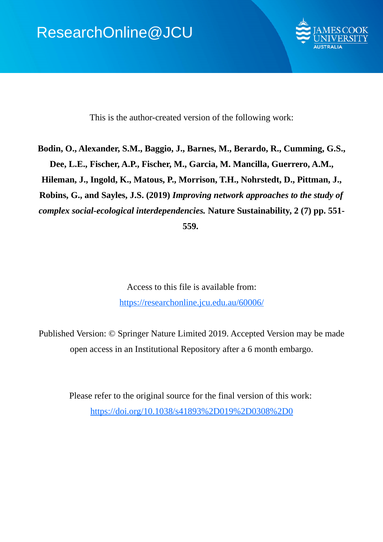

This is the author-created version of the following work:

**Bodin, O., Alexander, S.M., Baggio, J., Barnes, M., Berardo, R., Cumming, G.S., Dee, L.E., Fischer, A.P., Fischer, M., Garcia, M. Mancilla, Guerrero, A.M., Hileman, J., Ingold, K., Matous, P., Morrison, T.H., Nohrstedt, D., Pittman, J., Robins, G., and Sayles, J.S. (2019)** *Improving network approaches to the study of complex social-ecological interdependencies.* **Nature Sustainability, 2 (7) pp. 551- 559.** 

> Access to this file is available from: https://researchonline.jcu.edu.au/60006/

Published Version: © Springer Nature Limited 2019. Accepted Version may be made open access in an Institutional Repository after a 6 month embargo.

> Please refer to the original source for the final version of this work: https://doi.org/10.1038/s41893%2D019%2D0308%2D0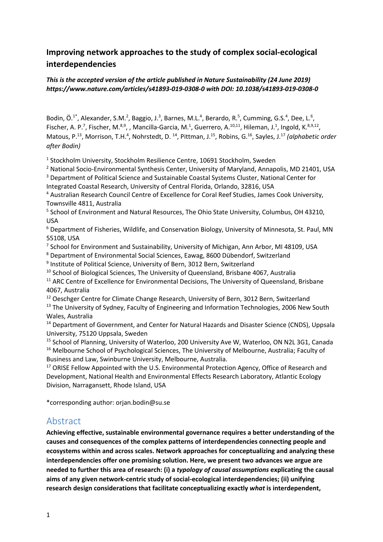# **Improving network approaches to the study of complex social-ecological interdependencies**

#### *This is the accepted version of the article published in Nature Sustainability (24 June 2019) https://www.nature.com/articles/s41893-019-0308-0 with DOI: 10.1038/s41893-019-0308-0*

Bodin, Ö.<sup>1\*</sup>, Alexander, S.M.<sup>2</sup>, Baggio, J.<sup>3</sup>, Barnes, M.L.<sup>4</sup>, Berardo, R.<sup>5</sup>, Cumming, G.S.<sup>4</sup>, Dee, L.<sup>6</sup>, Fischer, A. P.<sup>7</sup>, Fischer, M.<sup>8,9</sup>, , Mancilla-Garcia, M.<sup>1</sup>, Guerrero, A.<sup>10,11</sup>, Hileman, J.<sup>1</sup>, Ingold, K.<sup>8,9,12</sup>, Matous, P.<sup>13</sup>, Morrison, T.H.<sup>4</sup>, Nohrstedt, D. <sup>14</sup>, Pittman, J.<sup>15</sup>, Robins, G.<sup>16</sup>, Sayles, J.<sup>17</sup> *(alphabetic order after Bodin)*

<sup>1</sup> Stockholm University, Stockholm Resilience Centre, 10691 Stockholm, Sweden

<sup>2</sup> National Socio-Environmental Synthesis Center, University of Maryland, Annapolis, MD 21401, USA

<sup>3</sup> Department of Political Science and Sustainable Coastal Systems Cluster, National Center for

Integrated Coastal Research, University of Central Florida, Orlando, 32816, USA

<sup>4</sup> Australian Research Council Centre of Excellence for Coral Reef Studies, James Cook University, Townsville 4811, Australia

<sup>5</sup> School of Environment and Natural Resources, The Ohio State University, Columbus, OH 43210, USA

<sup>6</sup> Department of Fisheries, Wildlife, and Conservation Biology, University of Minnesota, St. Paul, MN 55108, USA

<sup>7</sup> School for Environment and Sustainability, University of Michigan, Ann Arbor, MI 48109, USA

<sup>8</sup> Department of Environmental Social Sciences, Eawag, 8600 Dübendorf, Switzerland

<sup>9</sup> Institute of Political Science, University of Bern, 3012 Bern, Switzerland

<sup>10</sup> School of Biological Sciences, The University of Queensland, Brisbane 4067, Australia <sup>11</sup> ARC Centre of Excellence for Environmental Decisions, The University of Queensland, Brisbane 4067, Australia

<sup>12</sup> Oeschger Centre for Climate Change Research, University of Bern, 3012 Bern, Switzerland

<sup>13</sup> The University of Sydney, Faculty of Engineering and Information Technologies, 2006 New South Wales, Australia

<sup>14</sup> Department of Government, and Center for Natural Hazards and Disaster Science (CNDS), Uppsala University, 75120 Uppsala, Sweden

<sup>15</sup> School of Planning, University of Waterloo, 200 University Ave W, Waterloo, ON N2L 3G1, Canada <sup>16</sup> Melbourne School of Psychological Sciences, The University of Melbourne, Australia; Faculty of Business and Law, Swinburne University, Melbourne, Australia.

<sup>17</sup> ORISE Fellow Appointed with the U.S. Environmental Protection Agency, Office of Research and Development, National Health and Environmental Effects Research Laboratory, Atlantic Ecology Division, Narragansett, Rhode Island, USA

\*corresponding author: orjan.bodin@su.se

#### Abstract

**Achieving effective, sustainable environmental governance requires a better understanding of the causes and consequences of the complex patterns of interdependencies connecting people and ecosystems within and across scales. Network approaches for conceptualizing and analyzing these interdependencies offer one promising solution. Here, we present two advances we argue are needed to further this area of research: (i) a** *typology of causal assumptions* **explicating the causal aims of any given network-centric study of social-ecological interdependencies; (ii) unifying research design considerations that facilitate conceptualizing exactly** *what* **is interdependent,**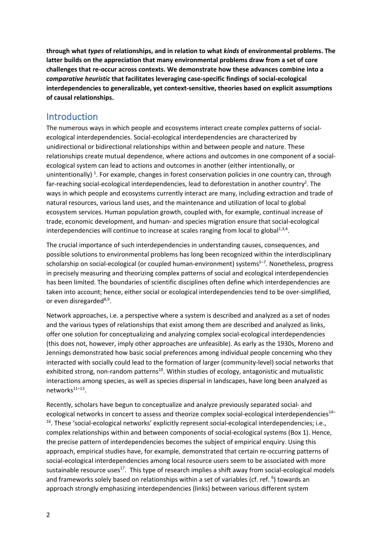**through what** *types* **of relationships, and in relation to what** *kinds* **of environmental problems. The latter builds on the appreciation that many environmental problems draw from a set of core challenges that re-occur across contexts. We demonstrate how these advances combine into a**  *comparative heuristic* **that facilitates leveraging case-specific findings of social-ecological interdependencies to generalizable, yet context-sensitive, theories based on explicit assumptions of causal relationships.** 

#### Introduction

The numerous ways in which people and ecosystems interact create complex patterns of socialecological interdependencies. Social-ecological interdependencies are characterized by unidirectional or bidirectional relationships within and between people and nature. These relationships create mutual dependence, where actions and outcomes in one component of a socialecological system can lead to actions and outcomes in another (either intentionally, or unintentionally)<sup>1</sup>. For example, changes in forest conservation policies in one country can, through far-reaching social-ecological interdependencies, lead to deforestation in another country<sup>2</sup>. The ways in which people and ecosystems currently interact are many, including extraction and trade of natural resources, various land uses, and the maintenance and utilization of local to global ecosystem services. Human population growth, coupled with, for example, continual increase of trade, economic development, and human- and species migration ensure that social-ecological interdependencies will continue to increase at scales ranging from local to global $1,3,4$ .

The crucial importance of such interdependencies in understanding causes, consequences, and possible solutions to environmental problems has long been recognized within the interdisciplinary scholarship on social-ecological (or coupled human-environment) systems<sup>5-7</sup>. Nonetheless, progress in precisely measuring and theorizing complex patterns of social and ecological interdependencies has been limited. The boundaries of scientific disciplines often define which interdependencies are taken into account; hence, either social or ecological interdependencies tend to be over-simplified, or even disregarded $8,9$ .

Network approaches, i.e. a perspective where a system is described and analyzed as a set of nodes and the various types of relationships that exist among them are described and analyzed as links, offer one solution for conceptualizing and analyzing complex social-ecological interdependencies (this does not, however, imply other approaches are unfeasible). As early as the 1930s, Moreno and Jennings demonstrated how basic social preferences among individual people concerning who they interacted with socially could lead to the formation of larger (community-level) social networks that exhibited strong, non-random patterns<sup>10</sup>. Within studies of ecology, antagonistic and mutualistic interactions among species, as well as species dispersal in landscapes, have long been analyzed as networks $11-13$ .

Recently, scholars have begun to conceptualize and analyze previously separated social- and ecological networks in concert to assess and theorize complex social-ecological interdependencies<sup>14–</sup> <sup>16</sup>. These 'social-ecological networks' explicitly represent social-ecological interdependencies; i.e., complex relationships within and between components of social-ecological systems (Box 1). Hence, the precise pattern of interdependencies becomes the subject of empirical enquiry. Using this approach, empirical studies have, for example, demonstrated that certain re-occurring patterns of social-ecological interdependencies among local resource users seem to be associated with more sustainable resource uses<sup>17</sup>. This type of research implies a shift away from social-ecological models and frameworks solely based on relationships within a set of variables (cf. ref. <sup>6</sup>) towards an approach strongly emphasizing interdependencies (links) between various different system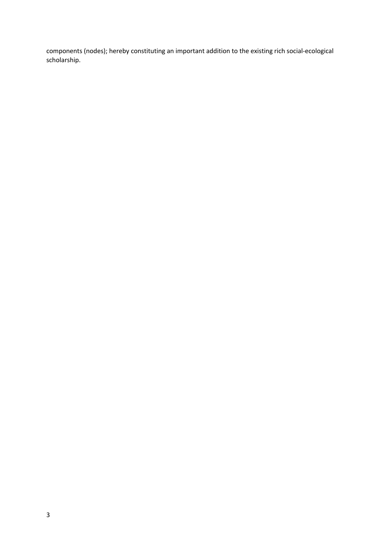components (nodes); hereby constituting an important addition to the existing rich social-ecological scholarship.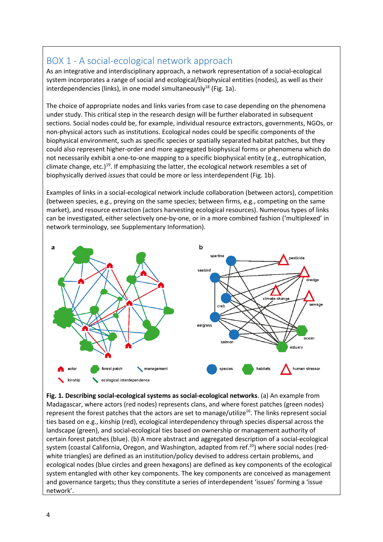# BOX 1 - A social-ecological network approach

As an integrative and interdisciplinary approach, a network representation of a social-ecological system incorporates a range of social and ecological/biophysical entities (nodes), as well as their interdependencies (links), in one model simultaneously $^{18}$  (Fig. 1a).

The choice of appropriate nodes and links varies from case to case depending on the phenomena under study. This critical step in the research design will be further elaborated in subsequent sections. Social nodes could be, for example, individual resource extractors, governments, NGOs, or non-physical actors such as institutions. Ecological nodes could be specific components of the biophysical environment, such as specific species or spatially separated habitat patches, but they could also represent higher-order and more aggregated biophysical forms or phenomena which do not necessarily exhibit a one-to-one mapping to a specific biophysical entity (e.g., eutrophication, climate change, etc.)<sup>19</sup>. If emphasizing the latter, the ecological network resembles a set of biophysically derived *issues* that could be more or less interdependent (Fig. 1b).

Examples of links in a social-ecological network include collaboration (between actors), competition (between species, e.g., preying on the same species; between firms, e.g., competing on the same market), and resource extraction (actors harvesting ecological resources). Numerous types of links can be investigated, either selectively one-by-one, or in a more combined fashion ('multiplexed' in network terminology, see Supplementary Information).



**Fig. 1. Describing social-ecological systems as social-ecological networks**. (a) An example from Madagascar, where actors (red nodes) represents clans, and where forest patches (green nodes) represent the forest patches that the actors are set to manage/utilize<sup>16</sup>. The links represent social ties based on e.g., kinship (red), ecological interdependency through species dispersal across the landscape (green), and social-ecological ties based on ownership or management authority of certain forest patches (blue). (b) A more abstract and aggregated description of a social-ecological system (coastal California, Oregon, and Washington, adapted from ref.<sup>20</sup>) where social nodes (redwhite triangles) are defined as an institution/policy devised to address certain problems, and ecological nodes (blue circles and green hexagons) are defined as key components of the ecological system entangled with other key components. The key components are conceived as management and governance targets; thus they constitute a series of interdependent 'issues' forming a 'issue network'.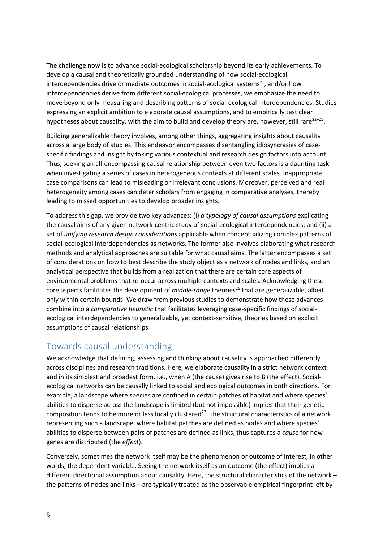The challenge now is to advance social-ecological scholarship beyond its early achievements. To develop a causal and theoretically grounded understanding of how social-ecological interdependencies drive or mediate outcomes in social-ecological systems<sup>21</sup>, and/or how interdependencies derive from different social-ecological processes, we emphasize the need to move beyond only measuring and describing patterns of social-ecological interdependencies. Studies expressing an explicit ambition to elaborate causal assumptions, and to empirically test clear hypotheses about causality, with the aim to build and develop theory are, however, still rare $2^{2-25}$ .

Building generalizable theory involves, among other things, aggregating insights about causality across a large body of studies. This endeavor encompasses disentangling idiosyncrasies of casespecific findings and insight by taking various contextual and research design factors into account. Thus, seeking an all-encompassing causal relationship between even two factors is a daunting task when investigating a series of cases in heterogeneous contexts at different scales. Inappropriate case comparisons can lead to misleading or irrelevant conclusions. Moreover, perceived and real heterogeneity among cases can deter scholars from engaging in comparative analyses, thereby leading to missed opportunities to develop broader insights.

To address this gap, we provide two key advances: (i) *a typology of causal assumptions* explicating the causal aims of any given network-centric study of social-ecological interdependencies; and (ii) a set of *unifying research design considerations* applicable when conceptualizing complex patterns of social-ecological interdependencies as networks. The former also involves elaborating what research methods and analytical approaches are suitable for what causal aims. The latter encompasses a set of considerations on how to best describe the study object as a network of nodes and links, and an analytical perspective that builds from a realization that there are certain core aspects of environmental problems that re-occur across multiple contexts and scales. Acknowledging these core aspects facilitates the development of *middle-range* theories<sup>26</sup> that are generalizable, albeit only within certain bounds. We draw from previous studies to demonstrate how these advances combine into a *comparative heuristic* that facilitates leveraging case-specific findings of socialecological interdependencies to generalizable, yet context-sensitive, theories based on explicit assumptions of causal relationships

# Towards causal understanding

We acknowledge that defining, assessing and thinking about causality is approached differently across disciplines and research traditions. Here, we elaborate causality in a strict network context and in its simplest and broadest form, i.e., when A (the cause) gives rise to B (the effect). Socialecological networks can be causally linked to social and ecological outcomes in both directions. For example, a landscape where species are confined in certain patches of habitat and where species' abilities to disperse across the landscape is limited (but not impossible) implies that their genetic composition tends to be more or less locally clustered<sup>27</sup>. The structural characteristics of a network representing such a landscape, where habitat patches are defined as nodes and where species' abilities to disperse between pairs of patches are defined as links, thus captures a *cause* for how genes are distributed (the *effect*).

Conversely, sometimes the network itself may be the phenomenon or outcome of interest, in other words, the dependent variable. Seeing the network itself as an outcome (the effect) implies a different directional assumption about causality. Here, the structural characteristics of the network – the patterns of nodes and links – are typically treated as the observable empirical fingerprint left by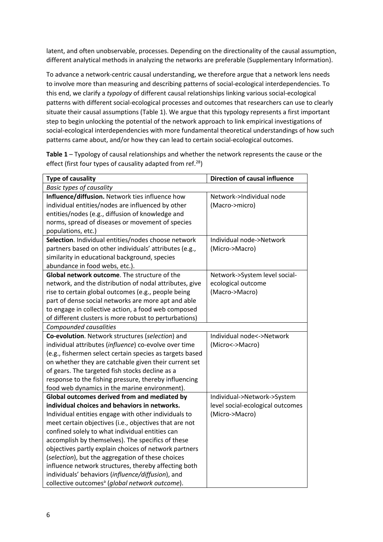latent, and often unobservable, processes. Depending on the directionality of the causal assumption, different analytical methods in analyzing the networks are preferable (Supplementary Information).

To advance a network-centric causal understanding, we therefore argue that a network lens needs to involve more than measuring and describing patterns of social-ecological interdependencies. To this end, we clarify a *typology* of different causal relationships linking various social-ecological patterns with different social-ecological processes and outcomes that researchers can use to clearly situate their causal assumptions (Table 1). We argue that this typology represents a first important step to begin unlocking the potential of the network approach to link empirical investigations of social-ecological interdependencies with more fundamental theoretical understandings of how such patterns came about, and/or how they can lead to certain social-ecological outcomes.

**Table 1** – Typology of causal relationships and whether the network represents the cause or the effect (first four types of causality adapted from ref. $^{28}$ )

| <b>Type of causality</b>                                   | <b>Direction of causal influence</b> |
|------------------------------------------------------------|--------------------------------------|
| <b>Basic types of causality</b>                            |                                      |
| Influence/diffusion. Network ties influence how            | Network->Individual node             |
| individual entities/nodes are influenced by other          | (Macro->micro)                       |
| entities/nodes (e.g., diffusion of knowledge and           |                                      |
| norms, spread of diseases or movement of species           |                                      |
| populations, etc.)                                         |                                      |
| Selection. Individual entities/nodes choose network        | Individual node->Network             |
| partners based on other individuals' attributes (e.g.,     | (Micro->Macro)                       |
| similarity in educational background, species              |                                      |
| abundance in food webs, etc.).                             |                                      |
| Global network outcome. The structure of the               | Network->System level social-        |
| network, and the distribution of nodal attributes, give    | ecological outcome                   |
| rise to certain global outcomes (e.g., people being        | (Macro->Macro)                       |
| part of dense social networks are more apt and able        |                                      |
| to engage in collective action, a food web composed        |                                      |
| of different clusters is more robust to perturbations)     |                                      |
| Compounded causalities                                     |                                      |
| Co-evolution. Network structures (selection) and           | Individual node<->Network            |
| individual attributes (influence) co-evolve over time      | (Micro <- > Macro)                   |
| (e.g., fishermen select certain species as targets based   |                                      |
| on whether they are catchable given their current set      |                                      |
| of gears. The targeted fish stocks decline as a            |                                      |
| response to the fishing pressure, thereby influencing      |                                      |
| food web dynamics in the marine environment).              |                                      |
| Global outcomes derived from and mediated by               | Individual->Network->System          |
| individual choices and behaviors in networks.              | level social-ecological outcomes     |
| Individual entities engage with other individuals to       | (Micro->Macro)                       |
| meet certain objectives (i.e., objectives that are not     |                                      |
| confined solely to what individual entities can            |                                      |
| accomplish by themselves). The specifics of these          |                                      |
| objectives partly explain choices of network partners      |                                      |
| (selection), but the aggregation of these choices          |                                      |
| influence network structures, thereby affecting both       |                                      |
| individuals' behaviors (influence/diffusion), and          |                                      |
| collective outcomes <sup>a</sup> (global network outcome). |                                      |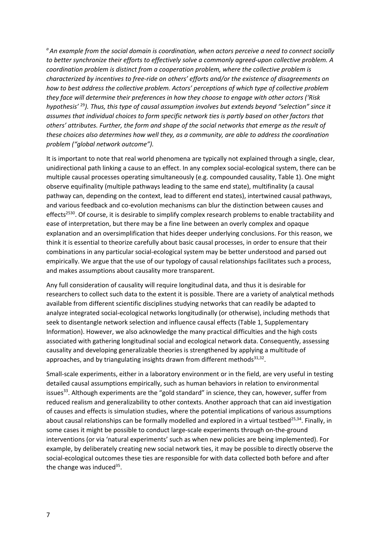*a An example from the social domain is coordination, when actors perceive a need to connect socially to better synchronize their efforts to effectively solve a commonly agreed-upon collective problem. A coordination problem is distinct from a cooperation problem, where the collective problem is characterized by incentives to free-ride on others' efforts and/or the existence of disagreements on how to best address the collective problem. Actors' perceptions of which type of collective problem they face will determine their preferences in how they choose to engage with other actors ('Risk hypothesis'* <sup>29</sup>*). Thus, this type of causal assumption involves but extends beyond "selection" since it assumes that individual choices to form specific network ties is partly based on other factors that others' attributes. Further, the form and shape of the social networks that emerge as the result of these choices also determines how well they, as a community, are able to address the coordination problem ("global network outcome").* 

It is important to note that real world phenomena are typically not explained through a single, clear, unidirectional path linking a cause to an effect. In any complex social-ecological system, there can be multiple causal processes operating simultaneously (e.g. compounded causality, Table 1). One might observe equifinality (multiple pathways leading to the same end state), multifinality (a causal pathway can, depending on the context, lead to different end states), intertwined causal pathways, and various feedback and co-evolution mechanisms can blur the distinction between causes and effects<sup>2530</sup>. Of course, it is desirable to simplify complex research problems to enable tractability and ease of interpretation, but there may be a fine line between an overly complex and opaque explanation and an oversimplification that hides deeper underlying conclusions. For this reason, we think it is essential to theorize carefully about basic causal processes, in order to ensure that their combinations in any particular social-ecological system may be better understood and parsed out empirically. We argue that the use of our typology of causal relationships facilitates such a process, and makes assumptions about causality more transparent.

Any full consideration of causality will require longitudinal data, and thus it is desirable for researchers to collect such data to the extent it is possible. There are a variety of analytical methods available from different scientific disciplines studying networks that can readily be adapted to analyze integrated social-ecological networks longitudinally (or otherwise), including methods that seek to disentangle network selection and influence causal effects (Table 1, Supplementary Information). However, we also acknowledge the many practical difficulties and the high costs associated with gathering longitudinal social and ecological network data. Consequently, assessing causality and developing generalizable theories is strengthened by applying a multitude of approaches, and by triangulating insights drawn from different methods $31,32$ .

Small-scale experiments, either in a laboratory environment or in the field, are very useful in testing detailed causal assumptions empirically, such as human behaviors in relation to environmental issues $33$ . Although experiments are the "gold standard" in science, they can, however, suffer from reduced realism and generalizability to other contexts. Another approach that can aid investigation of causes and effects is simulation studies, where the potential implications of various assumptions about causal relationships can be formally modelled and explored in a virtual testbed<sup>25,34</sup>. Finally, in some cases it might be possible to conduct large-scale experiments through on-the-ground interventions (or via 'natural experiments' such as when new policies are being implemented). For example, by deliberately creating new social network ties, it may be possible to directly observe the social-ecological outcomes these ties are responsible for with data collected both before and after the change was induced $35$ .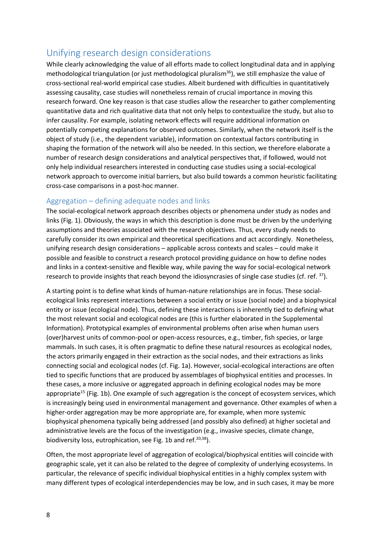# Unifying research design considerations

While clearly acknowledging the value of all efforts made to collect longitudinal data and in applying methodological triangulation (or just methodological pluralism<sup>36</sup>), we still emphasize the value of cross-sectional real-world empirical case studies. Albeit burdened with difficulties in quantitatively assessing causality, case studies will nonetheless remain of crucial importance in moving this research forward. One key reason is that case studies allow the researcher to gather complementing quantitative data and rich qualitative data that not only helps to contextualize the study, but also to infer causality. For example, isolating network effects will require additional information on potentially competing explanations for observed outcomes. Similarly, when the network itself is the object of study (i.e., the dependent variable), information on contextual factors contributing in shaping the formation of the network will also be needed. In this section, we therefore elaborate a number of research design considerations and analytical perspectives that, if followed, would not only help individual researchers interested in conducting case studies using a social-ecological network approach to overcome initial barriers, but also build towards a common heuristic facilitating cross-case comparisons in a post-hoc manner.

#### Aggregation – defining adequate nodes and links

The social-ecological network approach describes objects or phenomena under study as nodes and links (Fig. 1). Obviously, the ways in which this description is done must be driven by the underlying assumptions and theories associated with the research objectives. Thus, every study needs to carefully consider its own empirical and theoretical specifications and act accordingly. Nonetheless, unifying research design considerations – applicable across contexts and scales – could make it possible and feasible to construct a research protocol providing guidance on how to define nodes and links in a context-sensitive and flexible way, while paving the way for social-ecological network research to provide insights that reach beyond the idiosyncrasies of single case studies (cf. ref.  $^{37}$ ).

A starting point is to define what kinds of human-nature relationships are in focus. These socialecological links represent interactions between a social entity or issue (social node) and a biophysical entity or issue (ecological node). Thus, defining these interactions is inherently tied to defining what the most relevant social and ecological nodes are (this is further elaborated in the Supplemental Information). Prototypical examples of environmental problems often arise when human users (over)harvest units of common-pool or open-access resources, e.g., timber, fish species, or large mammals. In such cases, it is often pragmatic to define these natural resources as ecological nodes, the actors primarily engaged in their extraction as the social nodes, and their extractions as links connecting social and ecological nodes (cf. Fig. 1a). However, social-ecological interactions are often tied to specific functions that are produced by assemblages of biophysical entities and processes. In these cases, a more inclusive or aggregated approach in defining ecological nodes may be more appropriate<sup>15</sup> (Fig. 1b). One example of such aggregation is the concept of ecosystem services, which is increasingly being used in environmental management and governance. Other examples of when a higher-order aggregation may be more appropriate are, for example, when more systemic biophysical phenomena typically being addressed (and possibly also defined) at higher societal and administrative levels are the focus of the investigation (e.g., invasive species, climate change, biodiversity loss, eutrophication, see Fig. 1b and ref.<sup>20,38</sup>).

Often, the most appropriate level of aggregation of ecological/biophysical entities will coincide with geographic scale, yet it can also be related to the degree of complexity of underlying ecosystems. In particular, the relevance of specific individual biophysical entities in a highly complex system with many different types of ecological interdependencies may be low, and in such cases, it may be more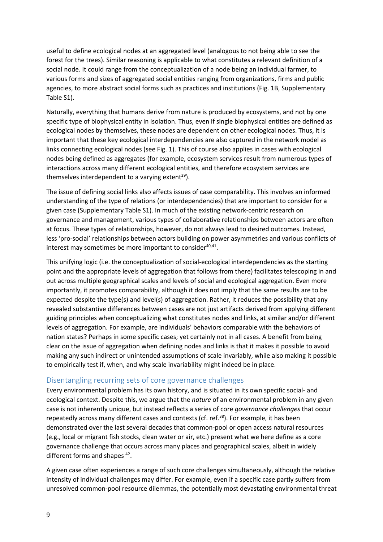useful to define ecological nodes at an aggregated level (analogous to not being able to see the forest for the trees). Similar reasoning is applicable to what constitutes a relevant definition of a social node. It could range from the conceptualization of a node being an individual farmer, to various forms and sizes of aggregated social entities ranging from organizations, firms and public agencies, to more abstract social forms such as practices and institutions (Fig. 1B, Supplementary Table S1).

Naturally, everything that humans derive from nature is produced by ecosystems, and not by one specific type of biophysical entity in isolation. Thus, even if single biophysical entities are defined as ecological nodes by themselves, these nodes are dependent on other ecological nodes. Thus, it is important that these key ecological interdependencies are also captured in the network model as links connecting ecological nodes (see Fig. 1). This of course also applies in cases with ecological nodes being defined as aggregates (for example, ecosystem services result from numerous types of interactions across many different ecological entities, and therefore ecosystem services are themselves interdependent to a varying extent<sup>39</sup>).

The issue of defining social links also affects issues of case comparability. This involves an informed understanding of the type of relations (or interdependencies) that are important to consider for a given case (Supplementary Table S1). In much of the existing network-centric research on governance and management, various types of collaborative relationships between actors are often at focus. These types of relationships, however, do not always lead to desired outcomes. Instead, less 'pro-social' relationships between actors building on power asymmetries and various conflicts of interest may sometimes be more important to consider $40,41$ .

This unifying logic (i.e. the conceptualization of social-ecological interdependencies as the starting point and the appropriate levels of aggregation that follows from there) facilitates telescoping in and out across multiple geographical scales and levels of social and ecological aggregation. Even more importantly, it promotes comparability, although it does not imply that the same results are to be expected despite the type(s) and level(s) of aggregation. Rather, it reduces the possibility that any revealed substantive differences between cases are not just artifacts derived from applying different guiding principles when conceptualizing what constitutes nodes and links, at similar and/or different levels of aggregation. For example, are individuals' behaviors comparable with the behaviors of nation states? Perhaps in some specific cases; yet certainly not in all cases. A benefit from being clear on the issue of aggregation when defining nodes and links is that it makes it possible to avoid making any such indirect or unintended assumptions of scale invariably, while also making it possible to empirically test if, when, and why scale invariability might indeed be in place.

#### Disentangling recurring sets of core governance challenges

Every environmental problem has its own history, and is situated in its own specific social- and ecological context. Despite this, we argue that the *nature* of an environmental problem in any given case is not inherently unique, but instead reflects a series of core *governance challenges* that occur repeatedly across many different cases and contexts (cf. ref.<sup>38</sup>). For example, it has been demonstrated over the last several decades that common-pool or open access natural resources (e.g., local or migrant fish stocks, clean water or air, etc.) present what we here define as a core governance challenge that occurs across many places and geographical scales, albeit in widely different forms and shapes <sup>42</sup>.

A given case often experiences a range of such core challenges simultaneously, although the relative intensity of individual challenges may differ. For example, even if a specific case partly suffers from unresolved common-pool resource dilemmas, the potentially most devastating environmental threat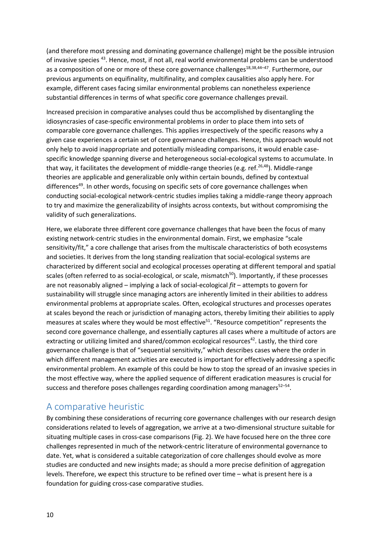(and therefore most pressing and dominating governance challenge) might be the possible intrusion of invasive species 43. Hence, most, if not all, real world environmental problems can be understood as a composition of one or more of these core governance challenges<sup>18,38,44-47</sup>. Furthermore, our previous arguments on equifinality, multifinality, and complex causalities also apply here. For example, different cases facing similar environmental problems can nonetheless experience substantial differences in terms of what specific core governance challenges prevail.

Increased precision in comparative analyses could thus be accomplished by disentangling the idiosyncrasies of case-specific environmental problems in order to place them into sets of comparable core governance challenges. This applies irrespectively of the specific reasons why a given case experiences a certain set of core governance challenges. Hence, this approach would not only help to avoid inappropriate and potentially misleading comparisons, it would enable casespecific knowledge spanning diverse and heterogeneous social-ecological systems to accumulate. In that way, it facilitates the development of middle-range theories (e.g. ref.<sup>26,48</sup>). Middle-range theories are applicable and generalizable only within certain bounds, defined by contextual differences<sup>49</sup>. In other words, focusing on specific sets of core governance challenges when conducting social-ecological network-centric studies implies taking a middle-range theory approach to try and maximize the generalizability of insights across contexts, but without compromising the validity of such generalizations.

Here, we elaborate three different core governance challenges that have been the focus of many existing network-centric studies in the environmental domain. First, we emphasize "scale sensitivity/fit," a core challenge that arises from the multiscale characteristics of both ecosystems and societies. It derives from the long standing realization that social-ecological systems are characterized by different social and ecological processes operating at different temporal and spatial scales (often referred to as social-ecological, or scale, mismatch<sup>50</sup>). Importantly, if these processes are not reasonably aligned – implying a lack of social-ecological *fit* – attempts to govern for sustainability will struggle since managing actors are inherently limited in their abilities to address environmental problems at appropriate scales. Often, ecological structures and processes operates at scales beyond the reach or jurisdiction of managing actors, thereby limiting their abilities to apply measures at scales where they would be most effective<sup>51</sup>. "Resource competition" represents the second core governance challenge, and essentially captures all cases where a multitude of actors are extracting or utilizing limited and shared/common ecological resources<sup>42</sup>. Lastly, the third core governance challenge is that of "sequential sensitivity," which describes cases where the order in which different management activities are executed is important for effectively addressing a specific environmental problem. An example of this could be how to stop the spread of an invasive species in the most effective way, where the applied sequence of different eradication measures is crucial for success and therefore poses challenges regarding coordination among managers $52-54$ .

# A comparative heuristic

By combining these considerations of recurring core governance challenges with our research design considerations related to levels of aggregation, we arrive at a two-dimensional structure suitable for situating multiple cases in cross-case comparisons (Fig. 2). We have focused here on the three core challenges represented in much of the network-centric literature of environmental governance to date. Yet, what is considered a suitable categorization of core challenges should evolve as more studies are conducted and new insights made; as should a more precise definition of aggregation levels. Therefore, we expect this structure to be refined over time – what is present here is a foundation for guiding cross-case comparative studies.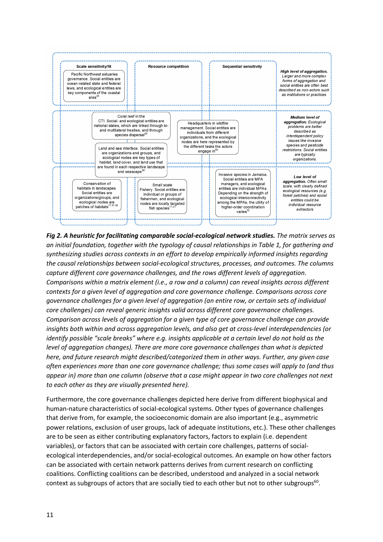

*Fig 2. A heuristic for facilitating comparable social-ecological network studies. The matrix serves as an initial foundation, together with the typology of causal relationships in Table 1, for gathering and synthesizing studies across contexts in an effort to develop empirically informed insights regarding the causal relationships between social-ecological structures, processes, and outcomes. The columns capture different core governance challenges, and the rows different levels of aggregation. Comparisons within a matrix element (i.e., a row and a column) can reveal insights across different contexts for a given level of aggregation and core governance challenge. Comparisons across core governance challenges for a given level of aggregation (an entire row, or certain sets of individual core challenges) can reveal generic insights valid across different core governance challenges. Comparison across levels of aggregation for a given type of core governance challenge can provide insights both within and across aggregation levels, and also get at cross-level interdependencies (or identify possible "scale breaks" where e.g. insights applicable at a certain level do not hold as the level of aggregation changes). There are more core governance challenges than what is depicted here, and future research might described/categorized them in other ways. Further, any given case often experiences more than one core governance challenge; thus some cases will apply to (and thus appear in) more than one column (observe that a case might appear in two core challenges not next to each other as they are visually presented here).* 

Furthermore, the core governance challenges depicted here derive from different biophysical and human-nature characteristics of social-ecological systems. Other types of governance challenges that derive from, for example, the socioeconomic domain are also important (e.g., asymmetric power relations, exclusion of user groups, lack of adequate institutions, etc.). These other challenges are to be seen as either contributing explanatory factors, factors to explain (i.e. dependent variables), or factors that can be associated with certain core challenges, patterns of socialecological interdependencies, and/or social-ecological outcomes. An example on how other factors can be associated with certain network patterns derives from current research on conflicting coalitions. Conflicting coalitions can be described, understood and analyzed in a social network context as subgroups of actors that are socially tied to each other but not to other subgroups<sup>60</sup>.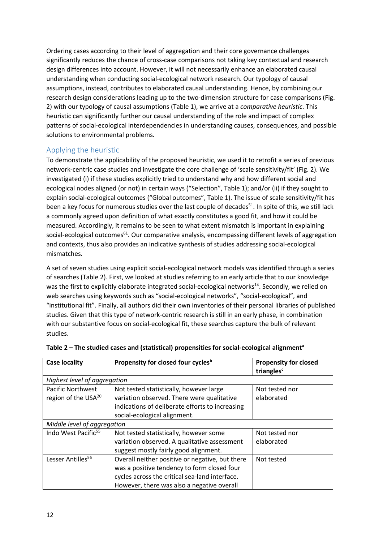Ordering cases according to their level of aggregation and their core governance challenges significantly reduces the chance of cross-case comparisons not taking key contextual and research design differences into account. However, it will not necessarily enhance an elaborated causal understanding when conducting social-ecological network research. Our typology of causal assumptions, instead, contributes to elaborated causal understanding. Hence, by combining our research design considerations leading up to the two-dimension structure for case comparisons (Fig. 2) with our typology of causal assumptions (Table 1), we arrive at a *comparative heuristic*. This heuristic can significantly further our causal understanding of the role and impact of complex patterns of social-ecological interdependencies in understanding causes, consequences, and possible solutions to environmental problems.

#### Applying the heuristic

To demonstrate the applicability of the proposed heuristic, we used it to retrofit a series of previous network-centric case studies and investigate the core challenge of 'scale sensitivity/fit' (Fig. 2). We investigated (i) if these studies explicitly tried to understand why and how different social and ecological nodes aligned (or not) in certain ways ("Selection", Table 1); and/or (ii) if they sought to explain social-ecological outcomes ("Global outcomes", Table 1). The issue of scale sensitivity/fit has been a key focus for numerous studies over the last couple of decades<sup>51</sup>. In spite of this, we still lack a commonly agreed upon definition of what exactly constitutes a good fit, and how it could be measured. Accordingly, it remains to be seen to what extent mismatch is important in explaining social-ecological outcomes<sup>61</sup>. Our comparative analysis, encompassing different levels of aggregation and contexts, thus also provides an indicative synthesis of studies addressing social-ecological mismatches.

A set of seven studies using explicit social-ecological network models was identified through a series of searches (Table 2). First, we looked at studies referring to an early article that to our knowledge was the first to explicitly elaborate integrated social-ecological networks<sup>14</sup>. Secondly, we relied on web searches using keywords such as "social-ecological networks", "social-ecological", and "institutional fit". Finally, all authors did their own inventories of their personal libraries of published studies. Given that this type of network-centric research is still in an early phase, in combination with our substantive focus on social-ecological fit, these searches capture the bulk of relevant studies.

| <b>Case locality</b>            | Propensity for closed four cycles <sup>b</sup>  | <b>Propensity for closed</b><br>triangles <sup>c</sup> |  |
|---------------------------------|-------------------------------------------------|--------------------------------------------------------|--|
| Highest level of aggregation    |                                                 |                                                        |  |
| <b>Pacific Northwest</b>        | Not tested statistically, however large         | Not tested nor                                         |  |
| region of the USA <sup>20</sup> | variation observed. There were qualitative      | elaborated                                             |  |
|                                 | indications of deliberate efforts to increasing |                                                        |  |
|                                 | social-ecological alignment.                    |                                                        |  |
| Middle level of aggregation     |                                                 |                                                        |  |
| Indo West Pacific <sup>55</sup> | Not tested statistically, however some          | Not tested nor                                         |  |
|                                 | variation observed. A qualitative assessment    | elaborated                                             |  |
|                                 | suggest mostly fairly good alignment.           |                                                        |  |
| Lesser Antilles <sup>56</sup>   | Overall neither positive or negative, but there | Not tested                                             |  |
|                                 | was a positive tendency to form closed four     |                                                        |  |
|                                 | cycles across the critical sea-land interface.  |                                                        |  |
|                                 | However, there was also a negative overall      |                                                        |  |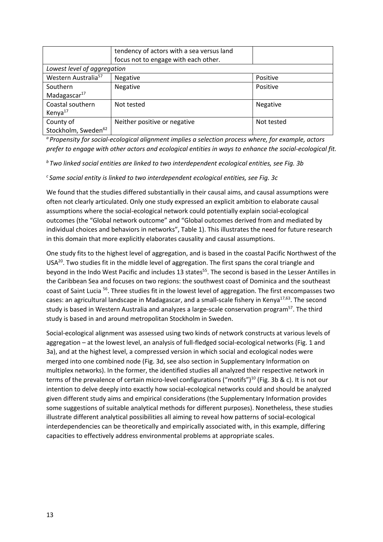|                                 | tendency of actors with a sea versus land<br>focus not to engage with each other. |            |  |  |
|---------------------------------|-----------------------------------------------------------------------------------|------------|--|--|
| Lowest level of aggregation     |                                                                                   |            |  |  |
| Western Australia <sup>57</sup> | Negative                                                                          | Positive   |  |  |
| Southern                        | Negative                                                                          | Positive   |  |  |
| Madagascar $^{17}$              |                                                                                   |            |  |  |
| Coastal southern                | Not tested                                                                        | Negative   |  |  |
| Kenya <sup>17</sup>             |                                                                                   |            |  |  |
| County of                       | Neither positive or negative                                                      | Not tested |  |  |
| Stockholm, Sweden <sup>62</sup> |                                                                                   |            |  |  |

*<sup>a</sup> Propensity for social-ecological alignment implies a selection process where, for example, actors prefer to engage with other actors and ecological entities in ways to enhance the social-ecological fit.*

*<sup>b</sup> Two linked social entities are linked to two interdependent ecological entities, see Fig. 3b*

*<sup>c</sup> Same social entity is linked to two interdependent ecological entities, see Fig. 3c*

We found that the studies differed substantially in their causal aims, and causal assumptions were often not clearly articulated. Only one study expressed an explicit ambition to elaborate causal assumptions where the social-ecological network could potentially explain social-ecological outcomes (the "Global network outcome" and "Global outcomes derived from and mediated by individual choices and behaviors in networks", Table 1). This illustrates the need for future research in this domain that more explicitly elaborates causality and causal assumptions.

One study fits to the highest level of aggregation, and is based in the coastal Pacific Northwest of the USA<sup>20</sup>. Two studies fit in the middle level of aggregation. The first spans the coral triangle and beyond in the Indo West Pacific and includes 13 states<sup>55</sup>. The second is based in the Lesser Antilles in the Caribbean Sea and focuses on two regions: the southwest coast of Dominica and the southeast coast of Saint Lucia 56. Three studies fit in the lowest level of aggregation. The first encompasses two cases: an agricultural landscape in Madagascar, and a small-scale fishery in Kenya<sup>17,63</sup>. The second study is based in Western Australia and analyzes a large-scale conservation program<sup>57</sup>. The third study is based in and around metropolitan Stockholm in Sweden.

Social-ecological alignment was assessed using two kinds of network constructs at various levels of aggregation – at the lowest level, an analysis of full-fledged social-ecological networks (Fig. 1 and 3a), and at the highest level, a compressed version in which social and ecological nodes were merged into one combined node (Fig. 3d, see also section in Supplementary Information on multiplex networks). In the former, the identified studies all analyzed their respective network in terms of the prevalence of certain micro-level configurations ("motifs")<sup>10</sup> (Fig. 3b & c). It is not our intention to delve deeply into exactly how social-ecological networks could and should be analyzed given different study aims and empirical considerations (the Supplementary Information provides some suggestions of suitable analytical methods for different purposes). Nonetheless, these studies illustrate different analytical possibilities all aiming to reveal how patterns of social-ecological interdependencies can be theoretically and empirically associated with, in this example, differing capacities to effectively address environmental problems at appropriate scales.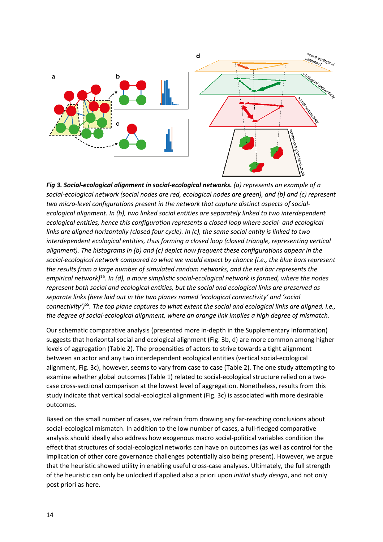

*Fig 3. Social-ecological alignment in social-ecological networks. (a) represents an example of a social-ecological network (social nodes are red, ecological nodes are green), and (b) and (c) represent two micro-level configurations present in the network that capture distinct aspects of socialecological alignment. In (b), two linked social entities are separately linked to two interdependent ecological entities, hence this configuration represents a closed loop where social- and ecological links are aligned horizontally (closed four cycle). In (c), the same social entity is linked to two interdependent ecological entities, thus forming a closed loop (closed triangle, representing vertical alignment). The histograms in (b) and (c) depict how frequent these configurations appear in the social-ecological network compared to what we would expect by chance (i.e., the blue bars represent the results from a large number of simulated random networks, and the red bar represents the empirical network)*<sup>16</sup>*. In (d), a more simplistic social-ecological network is formed, where the nodes represent both social and ecological entities, but the social and ecological links are preserved as separate links (here laid out in the two planes named 'ecological connectivity' and 'social connectivity')*<sup>55</sup>*. The top plane captures to what extent the social and ecological links are aligned, i.e., the degree of social-ecological alignment, where an orange link implies a high degree of mismatch.* 

Our schematic comparative analysis (presented more in-depth in the Supplementary Information) suggests that horizontal social and ecological alignment (Fig. 3b, d) are more common among higher levels of aggregation (Table 2). The propensities of actors to strive towards a tight alignment between an actor and any two interdependent ecological entities (vertical social-ecological alignment, Fig. 3c), however, seems to vary from case to case (Table 2). The one study attempting to examine whether global outcomes (Table 1) related to social-ecological structure relied on a twocase cross-sectional comparison at the lowest level of aggregation. Nonetheless, results from this study indicate that vertical social-ecological alignment (Fig. 3c) is associated with more desirable outcomes.

Based on the small number of cases, we refrain from drawing any far-reaching conclusions about social-ecological mismatch. In addition to the low number of cases, a full-fledged comparative analysis should ideally also address how exogenous macro social-political variables condition the effect that structures of social-ecological networks can have on outcomes (as well as control for the implication of other core governance challenges potentially also being present). However, we argue that the heuristic showed utility in enabling useful cross-case analyses. Ultimately, the full strength of the heuristic can only be unlocked if applied also a priori upon *initial study design*, and not only post priori as here.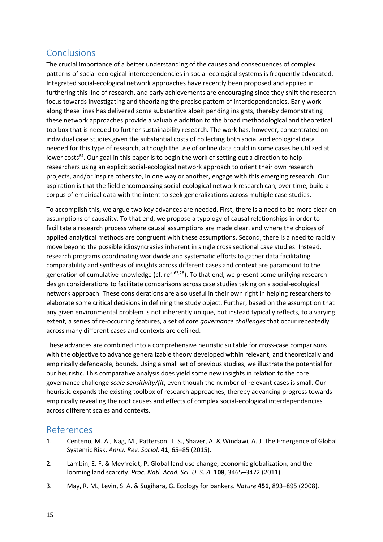# **Conclusions**

The crucial importance of a better understanding of the causes and consequences of complex patterns of social-ecological interdependencies in social-ecological systems is frequently advocated. Integrated social-ecological network approaches have recently been proposed and applied in furthering this line of research, and early achievements are encouraging since they shift the research focus towards investigating and theorizing the precise pattern of interdependencies. Early work along these lines has delivered some substantive albeit pending insights, thereby demonstrating these network approaches provide a valuable addition to the broad methodological and theoretical toolbox that is needed to further sustainability research. The work has, however, concentrated on individual case studies given the substantial costs of collecting both social and ecological data needed for this type of research, although the use of online data could in some cases be utilized at lower costs<sup>64</sup>. Our goal in this paper is to begin the work of setting out a direction to help researchers using an explicit social-ecological network approach to orient their own research projects, and/or inspire others to, in one way or another, engage with this emerging research. Our aspiration is that the field encompassing social-ecological network research can, over time, build a corpus of empirical data with the intent to seek generalizations across multiple case studies.

To accomplish this, we argue two key advances are needed. First, there is a need to be more clear on assumptions of causality. To that end, we propose a typology of causal relationships in order to facilitate a research process where causal assumptions are made clear, and where the choices of applied analytical methods are congruent with these assumptions. Second, there is a need to rapidly move beyond the possible idiosyncrasies inherent in single cross sectional case studies. Instead, research programs coordinating worldwide and systematic efforts to gather data facilitating comparability and synthesis of insights across different cases and context are paramount to the generation of cumulative knowledge (cf. ref.<sup>63,28</sup>). To that end, we present some unifying research design considerations to facilitate comparisons across case studies taking on a social-ecological network approach. These considerations are also useful in their own right in helping researchers to elaborate some critical decisions in defining the study object. Further, based on the assumption that any given environmental problem is not inherently unique, but instead typically reflects, to a varying extent, a series of re-occurring features, a set of core *governance challenges* that occur repeatedly across many different cases and contexts are defined.

These advances are combined into a comprehensive heuristic suitable for cross-case comparisons with the objective to advance generalizable theory developed within relevant, and theoretically and empirically defendable, bounds. Using a small set of previous studies, we illustrate the potential for our heuristic. This comparative analysis does yield some new insights in relation to the core governance challenge *scale sensitivity/fit*, even though the number of relevant cases is small. Our heuristic expands the existing toolbox of research approaches, thereby advancing progress towards empirically revealing the root causes and effects of complex social-ecological interdependencies across different scales and contexts.

### References

- 1. Centeno, M. A., Nag, M., Patterson, T. S., Shaver, A. & Windawi, A. J. The Emergence of Global Systemic Risk. *Annu. Rev. Sociol.* **41**, 65–85 (2015).
- 2. Lambin, E. F. & Meyfroidt, P. Global land use change, economic globalization, and the looming land scarcity. *Proc. Natl. Acad. Sci. U. S. A.* **108**, 3465–3472 (2011).
- 3. May, R. M., Levin, S. A. & Sugihara, G. Ecology for bankers. *Nature* **451**, 893–895 (2008).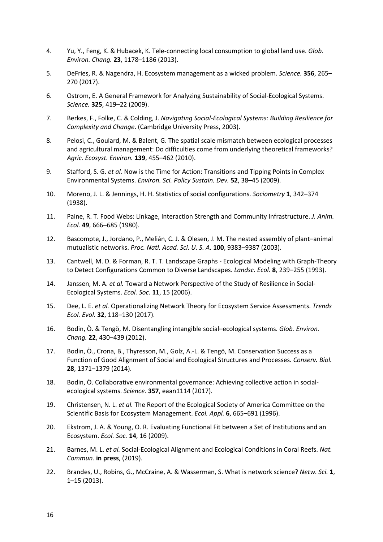- 4. Yu, Y., Feng, K. & Hubacek, K. Tele-connecting local consumption to global land use. *Glob. Environ. Chang.* **23**, 1178–1186 (2013).
- 5. DeFries, R. & Nagendra, H. Ecosystem management as a wicked problem. *Science.* **356**, 265– 270 (2017).
- 6. Ostrom, E. A General Framework for Analyzing Sustainability of Social-Ecological Systems. *Science.* **325**, 419–22 (2009).
- 7. Berkes, F., Folke, C. & Colding, J. *Navigating Social-Ecological Systems: Building Resilience for Complexity and Change*. (Cambridge University Press, 2003).
- 8. Pelosi, C., Goulard, M. & Balent, G. The spatial scale mismatch between ecological processes and agricultural management: Do difficulties come from underlying theoretical frameworks? *Agric. Ecosyst. Environ.* **139**, 455–462 (2010).
- 9. Stafford, S. G. *et al.* Now is the Time for Action: Transitions and Tipping Points in Complex Environmental Systems. *Environ. Sci. Policy Sustain. Dev.* **52**, 38–45 (2009).
- 10. Moreno, J. L. & Jennings, H. H. Statistics of social configurations. *Sociometry* **1**, 342–374 (1938).
- 11. Paine, R. T. Food Webs: Linkage, Interaction Strength and Community Infrastructure. *J. Anim. Ecol.* **49**, 666–685 (1980).
- 12. Bascompte, J., Jordano, P., Melián, C. J. & Olesen, J. M. The nested assembly of plant–animal mutualistic networks. *Proc. Natl. Acad. Sci. U. S. A.* **100**, 9383–9387 (2003).
- 13. Cantwell, M. D. & Forman, R. T. T. Landscape Graphs Ecological Modeling with Graph-Theory to Detect Configurations Common to Diverse Landscapes. *Landsc. Ecol.* **8**, 239–255 (1993).
- 14. Janssen, M. A. *et al.* Toward a Network Perspective of the Study of Resilience in Social-Ecological Systems. *Ecol. Soc.* **11**, 15 (2006).
- 15. Dee, L. E. *et al.* Operationalizing Network Theory for Ecosystem Service Assessments. *Trends Ecol. Evol.* **32**, 118–130 (2017).
- 16. Bodin, Ö. & Tengö, M. Disentangling intangible social–ecological systems. *Glob. Environ. Chang.* **22**, 430–439 (2012).
- 17. Bodin, Ö., Crona, B., Thyresson, M., Golz, A.-L. & Tengö, M. Conservation Success as a Function of Good Alignment of Social and Ecological Structures and Processes. *Conserv. Biol.* **28**, 1371–1379 (2014).
- 18. Bodin, Ö. Collaborative environmental governance: Achieving collective action in socialecological systems. *Science.* **357**, eaan1114 (2017).
- 19. Christensen, N. L. *et al.* The Report of the Ecological Society of America Committee on the Scientific Basis for Ecosystem Management. *Ecol. Appl.* **6**, 665–691 (1996).
- 20. Ekstrom, J. A. & Young, O. R. Evaluating Functional Fit between a Set of Institutions and an Ecosystem. *Ecol. Soc.* **14**, 16 (2009).
- 21. Barnes, M. L. *et al.* Social-Ecological Alignment and Ecological Conditions in Coral Reefs. *Nat. Commun.* **in press**, (2019).
- 22. Brandes, U., Robins, G., McCraine, A. & Wasserman, S. What is network science? *Netw. Sci.* **1**, 1–15 (2013).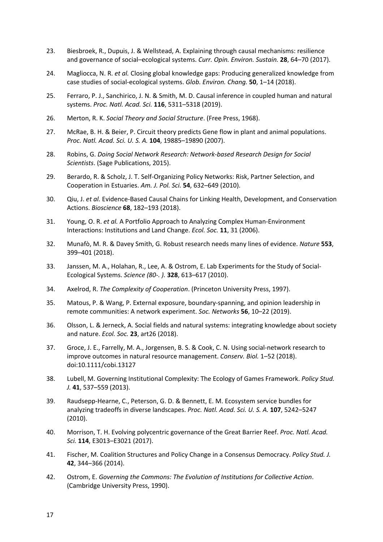- 23. Biesbroek, R., Dupuis, J. & Wellstead, A. Explaining through causal mechanisms: resilience and governance of social–ecological systems. *Curr. Opin. Environ. Sustain.* **28**, 64–70 (2017).
- 24. Magliocca, N. R. *et al.* Closing global knowledge gaps: Producing generalized knowledge from case studies of social-ecological systems. *Glob. Environ. Chang.* **50**, 1–14 (2018).
- 25. Ferraro, P. J., Sanchirico, J. N. & Smith, M. D. Causal inference in coupled human and natural systems. *Proc. Natl. Acad. Sci.* **116**, 5311–5318 (2019).
- 26. Merton, R. K. *Social Theory and Social Structure*. (Free Press, 1968).
- 27. McRae, B. H. & Beier, P. Circuit theory predicts Gene flow in plant and animal populations. *Proc. Natl. Acad. Sci. U. S. A.* **104**, 19885–19890 (2007).
- 28. Robins, G. *Doing Social Network Research: Network-based Research Design for Social Scientists*. (Sage Publications, 2015).
- 29. Berardo, R. & Scholz, J. T. Self-Organizing Policy Networks: Risk, Partner Selection, and Cooperation in Estuaries. *Am. J. Pol. Sci.* **54**, 632–649 (2010).
- 30. Qiu, J. *et al.* Evidence-Based Causal Chains for Linking Health, Development, and Conservation Actions. *Bioscience* **68**, 182–193 (2018).
- 31. Young, O. R. *et al.* A Portfolio Approach to Analyzing Complex Human-Environment Interactions: Institutions and Land Change. *Ecol. Soc.* **11**, 31 (2006).
- 32. Munafò, M. R. & Davey Smith, G. Robust research needs many lines of evidence. *Nature* **553**, 399–401 (2018).
- 33. Janssen, M. A., Holahan, R., Lee, A. & Ostrom, E. Lab Experiments for the Study of Social-Ecological Systems. *Science (80-. ).* **328**, 613–617 (2010).
- 34. Axelrod, R. *The Complexity of Cooperation*. (Princeton University Press, 1997).
- 35. Matous, P. & Wang, P. External exposure, boundary-spanning, and opinion leadership in remote communities: A network experiment. *Soc. Networks* **56**, 10–22 (2019).
- 36. Olsson, L. & Jerneck, A. Social fields and natural systems: integrating knowledge about society and nature. *Ecol. Soc.* **23**, art26 (2018).
- 37. Groce, J. E., Farrelly, M. A., Jorgensen, B. S. & Cook, C. N. Using social-network research to improve outcomes in natural resource management. *Conserv. Biol.* 1–52 (2018). doi:10.1111/cobi.13127
- 38. Lubell, M. Governing Institutional Complexity: The Ecology of Games Framework. *Policy Stud. J.* **41**, 537–559 (2013).
- 39. Raudsepp-Hearne, C., Peterson, G. D. & Bennett, E. M. Ecosystem service bundles for analyzing tradeoffs in diverse landscapes. *Proc. Natl. Acad. Sci. U. S. A.* **107**, 5242–5247 (2010).
- 40. Morrison, T. H. Evolving polycentric governance of the Great Barrier Reef. *Proc. Natl. Acad. Sci.* **114**, E3013–E3021 (2017).
- 41. Fischer, M. Coalition Structures and Policy Change in a Consensus Democracy. *Policy Stud. J.* **42**, 344–366 (2014).
- 42. Ostrom, E. *Governing the Commons: The Evolution of Institutions for Collective Action*. (Cambridge University Press, 1990).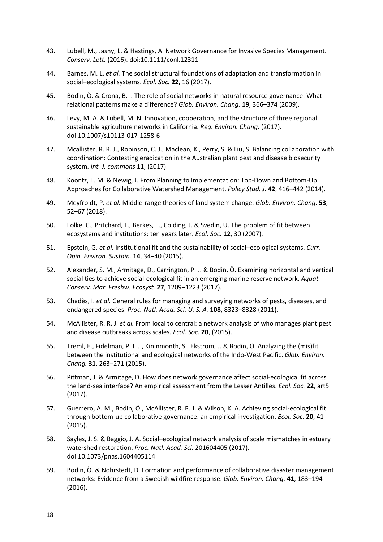- 43. Lubell, M., Jasny, L. & Hastings, A. Network Governance for Invasive Species Management. *Conserv. Lett.* (2016). doi:10.1111/conl.12311
- 44. Barnes, M. L. *et al.* The social structural foundations of adaptation and transformation in social–ecological systems. *Ecol. Soc.* **22**, 16 (2017).
- 45. Bodin, Ö. & Crona, B. I. The role of social networks in natural resource governance: What relational patterns make a difference? *Glob. Environ. Chang.* **19**, 366–374 (2009).
- 46. Levy, M. A. & Lubell, M. N. Innovation, cooperation, and the structure of three regional sustainable agriculture networks in California. *Reg. Environ. Chang.* (2017). doi:10.1007/s10113-017-1258-6
- 47. Mcallister, R. R. J., Robinson, C. J., Maclean, K., Perry, S. & Liu, S. Balancing collaboration with coordination: Contesting eradication in the Australian plant pest and disease biosecurity system. *Int. J. commons* **11**, (2017).
- 48. Koontz, T. M. & Newig, J. From Planning to Implementation: Top-Down and Bottom-Up Approaches for Collaborative Watershed Management. *Policy Stud. J.* **42**, 416–442 (2014).
- 49. Meyfroidt, P. *et al.* Middle-range theories of land system change. *Glob. Environ. Chang.* **53**, 52–67 (2018).
- 50. Folke, C., Pritchard, L., Berkes, F., Colding, J. & Svedin, U. The problem of fit between ecosystems and institutions: ten years later. *Ecol. Soc.* **12**, 30 (2007).
- 51. Epstein, G. *et al.* Institutional fit and the sustainability of social–ecological systems. *Curr. Opin. Environ. Sustain.* **14**, 34–40 (2015).
- 52. Alexander, S. M., Armitage, D., Carrington, P. J. & Bodin, Ö. Examining horizontal and vertical social ties to achieve social-ecological fit in an emerging marine reserve network. *Aquat. Conserv. Mar. Freshw. Ecosyst.* **27**, 1209–1223 (2017).
- 53. Chadès, I. *et al.* General rules for managing and surveying networks of pests, diseases, and endangered species. *Proc. Natl. Acad. Sci. U. S. A.* **108**, 8323–8328 (2011).
- 54. McAllister, R. R. J. *et al.* From local to central: a network analysis of who manages plant pest and disease outbreaks across scales. *Ecol. Soc.* **20**, (2015).
- 55. Treml, E., Fidelman, P. I. J., Kininmonth, S., Ekstrom, J. & Bodin, Ö. Analyzing the (mis)fit between the institutional and ecological networks of the Indo-West Pacific. *Glob. Environ. Chang.* **31**, 263–271 (2015).
- 56. Pittman, J. & Armitage, D. How does network governance affect social-ecological fit across the land-sea interface? An empirical assessment from the Lesser Antilles. *Ecol. Soc.* **22**, art5 (2017).
- 57. Guerrero, A. M., Bodin, Ö., McAllister, R. R. J. & Wilson, K. A. Achieving social-ecological fit through bottom-up collaborative governance: an empirical investigation. *Ecol. Soc.* **20**, 41 (2015).
- 58. Sayles, J. S. & Baggio, J. A. Social–ecological network analysis of scale mismatches in estuary watershed restoration. *Proc. Natl. Acad. Sci.* 201604405 (2017). doi:10.1073/pnas.1604405114
- 59. Bodin, Ö. & Nohrstedt, D. Formation and performance of collaborative disaster management networks: Evidence from a Swedish wildfire response. *Glob. Environ. Chang.* **41**, 183–194 (2016).